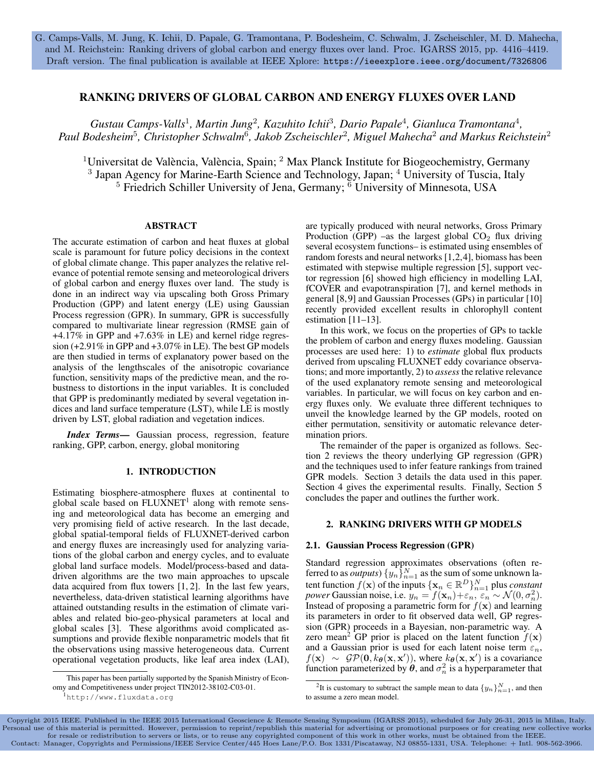## RANKING DRIVERS OF GLOBAL CARBON AND ENERGY FLUXES OVER LAND

Gustau Camps-Valls<sup>1</sup>, Martin Jung<sup>2</sup>, Kazuhito Ichii<sup>3</sup>, Dario Papale<sup>4</sup>, Gianluca Tramontana<sup>4</sup>, *Paul Bodesheim*<sup>5</sup> *, Christopher Schwalm*<sup>6</sup> *, Jakob Zscheischler*<sup>2</sup> *, Miguel Mahecha*<sup>2</sup> *and Markus Reichstein*<sup>2</sup>

<sup>1</sup>Universitat de València, València, Spain; <sup>2</sup> Max Planck Institute for Biogeochemistry, Germany <sup>3</sup> Japan Agency for Marine-Earth Science and Technology, Japan; <sup>4</sup> University of Tuscia, Italy  $5$  Friedrich Schiller University of Jena, Germany;  $\overline{6}$  University of Minnesota, USA

## ABSTRACT

The accurate estimation of carbon and heat fluxes at global scale is paramount for future policy decisions in the context of global climate change. This paper analyzes the relative relevance of potential remote sensing and meteorological drivers of global carbon and energy fluxes over land. The study is done in an indirect way via upscaling both Gross Primary Production (GPP) and latent energy (LE) using Gaussian Process regression (GPR). In summary, GPR is successfully compared to multivariate linear regression (RMSE gain of +4.17% in GPP and +7.63% in LE) and kernel ridge regression (+2.91% in GPP and +3.07% in LE). The best GP models are then studied in terms of explanatory power based on the analysis of the lengthscales of the anisotropic covariance function, sensitivity maps of the predictive mean, and the robustness to distortions in the input variables. It is concluded that GPP is predominantly mediated by several vegetation indices and land surface temperature (LST), while LE is mostly driven by LST, global radiation and vegetation indices.

*Index Terms*— Gaussian process, regression, feature ranking, GPP, carbon, energy, global monitoring

# 1. INTRODUCTION

Estimating biosphere-atmosphere fluxes at continental to global scale based on FLUXNET<sup>1</sup> along with remote sensing and meteorological data has become an emerging and very promising field of active research. In the last decade, global spatial-temporal fields of FLUXNET-derived carbon and energy fluxes are increasingly used for analyzing variations of the global carbon and energy cycles, and to evaluate global land surface models. Model/process-based and datadriven algorithms are the two main approaches to upscale data acquired from flux towers [1, 2]. In the last few years, nevertheless, data-driven statistical learning algorithms have attained outstanding results in the estimation of climate variables and related bio-geo-physical parameters at local and global scales [3]. These algorithms avoid complicated assumptions and provide flexible nonparametric models that fit the observations using massive heterogeneous data. Current operational vegetation products, like leaf area index (LAI),

are typically produced with neural networks, Gross Primary Production (GPP) –as the largest global  $CO<sub>2</sub>$  flux driving several ecosystem functions– is estimated using ensembles of random forests and neural networks [1,2,4], biomass has been estimated with stepwise multiple regression [5], support vector regression [6] showed high efficiency in modelling LAI, fCOVER and evapotranspiration [7], and kernel methods in general [8,9] and Gaussian Processes (GPs) in particular [10] recently provided excellent results in chlorophyll content estimation [11–13].

In this work, we focus on the properties of GPs to tackle the problem of carbon and energy fluxes modeling. Gaussian processes are used here: 1) to *estimate* global flux products derived from upscaling FLUXNET eddy covariance observations; and more importantly, 2) to *assess* the relative relevance of the used explanatory remote sensing and meteorological variables. In particular, we will focus on key carbon and energy fluxes only. We evaluate three different techniques to unveil the knowledge learned by the GP models, rooted on either permutation, sensitivity or automatic relevance determination priors.

The remainder of the paper is organized as follows. Section 2 reviews the theory underlying GP regression (GPR) and the techniques used to infer feature rankings from trained GPR models. Section 3 details the data used in this paper. Section 4 gives the experimental results. Finally, Section 5 concludes the paper and outlines the further work.

## 2. RANKING DRIVERS WITH GP MODELS

## 2.1. Gaussian Process Regression (GPR)

Standard regression approximates observations (often referred to as *outputs*)  $\{y_n\}_{n=1}^N$  as the sum of some unknown latent function  $f(\mathbf{x})$  of the inputs  $\{\mathbf{x}_n \in \mathbb{R}^D\}_{n=1}^N$  plus *constant power* Gaussian noise, i.e.  $y_n = f(\mathbf{x}_n) + \varepsilon_n$ ,  $\varepsilon_n \sim \mathcal{N}(0, \sigma_n^2)$ . Instead of proposing a parametric form for  $f(\mathbf{x})$  and learning its parameters in order to fit observed data well, GP regression (GPR) proceeds in a Bayesian, non-parametric way. A zero mean<sup>2</sup> GP prior is placed on the latent function  $f(\mathbf{x})$ and a Gaussian prior is used for each latent noise term  $\varepsilon_n$ ,  $f(\mathbf{x}) \sim \mathcal{GP}(\mathbf{0}, k_{\theta}(\mathbf{x}, \mathbf{x}'))$ , where  $k_{\theta}(\mathbf{x}, \mathbf{x}')$  is a covariance function parameterized by  $\theta$ , and  $\sigma_n^2$  is a hyperparameter that

Copyright 2015 IEEE. Published in the IEEE 2015 International Geoscience & Remote Sensing Symposium (IGARSS 2015), scheduled for July 26-31, 2015 in Milan, Italy. Personal use of this material is permitted. However, permission to reprint/republish this material for advertising or promotional purposes or for creating new collective works for resale or redistribution to servers or lists, or to reuse any copyrighted component of this work in other works, must be obtained from the IEEE.<br>Contact: Manager, Copyrights and Permissions/IEEE Service Center/445 Hoes

This paper has been partially supported by the Spanish Ministry of Economy and Competitiveness under project TIN2012-38102-C03-01.

<sup>1</sup>http://www.fluxdata.org

<sup>&</sup>lt;sup>2</sup>It is customary to subtract the sample mean to data  $\{y_n\}_{n=1}^N$ , and then to assume a zero mean model.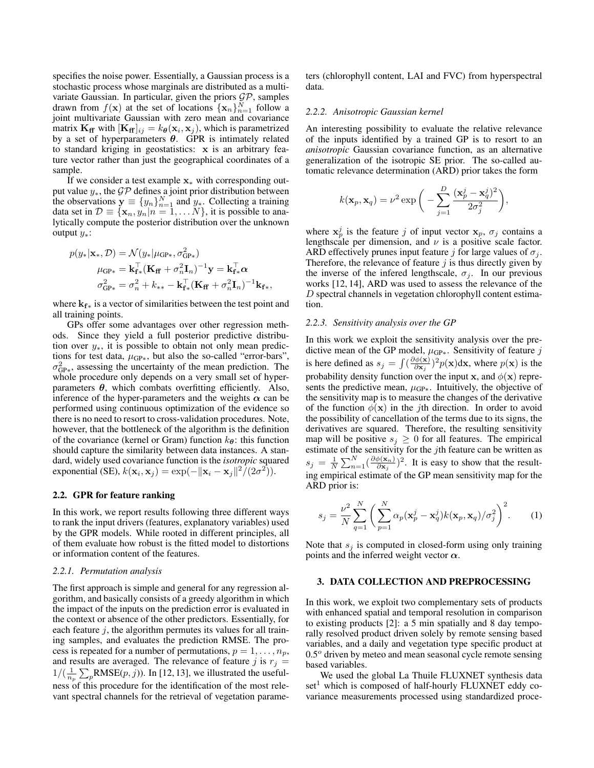specifies the noise power. Essentially, a Gaussian process is a stochastic process whose marginals are distributed as a multivariate Gaussian. In particular, given the priors  $\mathcal{GP}$ , samples drawn from  $f(\mathbf{x})$  at the set of locations  $\{\mathbf{x}_n\}_{n=1}^N$  follow a joint multivariate Gaussian with zero mean and covariance matrix  $\mathbf{K}_{\mathbf{f}f}$  with  $[\mathbf{K}_{\mathbf{f}f}]_{ij} = k_{\theta}(\mathbf{x}_i, \mathbf{x}_j)$ , which is parametrized by a set of hyperparameters  $\theta$ . GPR is intimately related to standard kriging in geostatistics: x is an arbitrary feature vector rather than just the geographical coordinates of a sample.

If we consider a test example  $x_*$  with corresponding output value  $y_*$ , the  $\mathcal{GP}$  defines a joint prior distribution between the observations  $y \equiv \{y_n\}_{n=1}^N$  and  $y_*$ . Collecting a training data set in  $\mathcal{D} \equiv \{\mathbf{x}_n, y_n | n = 1, \dots N\}$ , it is possible to analytically compute the posterior distribution over the unknown output  $y_*$ :

$$
p(y_*|\mathbf{x}_*, \mathcal{D}) = \mathcal{N}(y_*|\mu_{\text{GP}*}, \sigma_{\text{GP}*}^2)
$$
  
\n
$$
\mu_{\text{GP}*} = \mathbf{k}_{\text{f}*}^\top (\mathbf{K}_{\text{f}} + \sigma_n^2 \mathbf{I}_n)^{-1} \mathbf{y} = \mathbf{k}_{\text{f}*}^\top \boldsymbol{\alpha}
$$
  
\n
$$
\sigma_{\text{GP}*}^2 = \sigma_n^2 + k_{**} - \mathbf{k}_{\text{f}*}^\top (\mathbf{K}_{\text{f}} + \sigma_n^2 \mathbf{I}_n)^{-1} \mathbf{k}_{\text{f}*},
$$

where  $k_{f*}$  is a vector of similarities between the test point and all training points.

GPs offer some advantages over other regression methods. Since they yield a full posterior predictive distribution over y∗, it is possible to obtain not only mean predictions for test data,  $\mu_{GP*}$ , but also the so-called "error-bars",  $\sigma_{\text{GP}^*}^2$ , assessing the uncertainty of the mean prediction. The whole procedure only depends on a very small set of hyperparameters  $\theta$ , which combats overfitting efficiently. Also, inference of the hyper-parameters and the weights  $\alpha$  can be performed using continuous optimization of the evidence so there is no need to resort to cross-validation procedures. Note, however, that the bottleneck of the algorithm is the definition of the covariance (kernel or Gram) function  $k_{\theta}$ : this function should capture the similarity between data instances. A standard, widely used covariance function is the *isotropic* squared exponential (SE),  $k(\mathbf{x}_i, \mathbf{x}_j) = \exp(-\|\mathbf{x}_i - \mathbf{x}_j\|^2 / (2\sigma^2)).$ 

## 2.2. GPR for feature ranking

In this work, we report results following three different ways to rank the input drivers (features, explanatory variables) used by the GPR models. While rooted in different principles, all of them evaluate how robust is the fitted model to distortions or information content of the features.

#### *2.2.1. Permutation analysis*

The first approach is simple and general for any regression algorithm, and basically consists of a greedy algorithm in which the impact of the inputs on the prediction error is evaluated in the context or absence of the other predictors. Essentially, for each feature  $j$ , the algorithm permutes its values for all training samples, and evaluates the prediction RMSE. The process is repeated for a number of permutations,  $p = 1, \ldots, n_p$ , and results are averaged. The relevance of feature j is  $r_i =$  $1/(\frac{1}{n_p} \sum_{p} RMSE(p, j))$ . In [12, 13], we illustrated the usefulness of this procedure for the identification of the most relevant spectral channels for the retrieval of vegetation parameters (chlorophyll content, LAI and FVC) from hyperspectral data.

#### *2.2.2. Anisotropic Gaussian kernel*

An interesting possibility to evaluate the relative relevance of the inputs identified by a trained GP is to resort to an *anisotropic* Gaussian covariance function, as an alternative generalization of the isotropic SE prior. The so-called automatic relevance determination (ARD) prior takes the form

$$
k(\mathbf{x}_p, \mathbf{x}_q) = \nu^2 \exp\bigg(-\sum_{j=1}^D \frac{(\mathbf{x}_p^j - \mathbf{x}_q^j)^2}{2\sigma_j^2}\bigg),\,
$$

where  $x_p^j$  is the feature j of input vector  $x_p$ ,  $\sigma_j$  contains a lengthscale per dimension, and  $\nu$  is a positive scale factor. ARD effectively prunes input feature j for large values of  $\sigma_i$ . Therefore, the relevance of feature  $j$  is thus directly given by the inverse of the infered lengthscale,  $\sigma_i$ . In our previous works [12, 14], ARD was used to assess the relevance of the D spectral channels in vegetation chlorophyll content estimation.

#### *2.2.3. Sensitivity analysis over the GP*

In this work we exploit the sensitivity analysis over the predictive mean of the GP model,  $\mu_{GP*}$ . Sensitivity of feature j is here defined as  $s_j = \int (\frac{\partial \phi(\mathbf{x})}{\partial \mathbf{x}_j})$  $\frac{\partial \phi(\mathbf{x})}{\partial \mathbf{x}_j}$ )<sup>2</sup> $p(\mathbf{x})$ dx, where  $p(\mathbf{x})$  is the probability density function over the input x, and  $\phi(\mathbf{x})$  represents the predictive mean,  $\mu_{GP*}$ . Intuitively, the objective of the sensitivity map is to measure the changes of the derivative of the function  $\phi(\mathbf{x})$  in the *j*th direction. In order to avoid the possibility of cancellation of the terms due to its signs, the derivatives are squared. Therefore, the resulting sensitivity map will be positive  $s_j \geq 0$  for all features. The empirical estimate of the sensitivity for the  $j$ th feature can be written as  $s_j \, = \, \frac{1}{N} \sum_{n=1}^N \bigl( \frac{\partial \phi({\bf x}_n)}{\partial {\bf x}_j}$  $(\frac{\phi(\mathbf{x}_n)}{\partial \mathbf{x}_j})^2$ . It is easy to show that the resulting empirical estimate of the GP mean sensitivity map for the ARD prior is:

$$
s_j = \frac{\nu^2}{N} \sum_{q=1}^N \left( \sum_{p=1}^N \alpha_p (\mathbf{x}_p^j - \mathbf{x}_q^j) k(\mathbf{x}_p, \mathbf{x}_q) / \sigma_j^2 \right)^2.
$$
 (1)

Note that  $s_i$  is computed in closed-form using only training points and the inferred weight vector  $\alpha$ .

## 3. DATA COLLECTION AND PREPROCESSING

In this work, we exploit two complementary sets of products with enhanced spatial and temporal resolution in comparison to existing products [2]: a 5 min spatially and 8 day temporally resolved product driven solely by remote sensing based variables, and a daily and vegetation type specific product at  $0.5<sup>o</sup>$  driven by meteo and mean seasonal cycle remote sensing based variables.

We used the global La Thuile FLUXNET synthesis data  $set<sup>1</sup>$  which is composed of half-hourly FLUXNET eddy covariance measurements processed using standardized proce-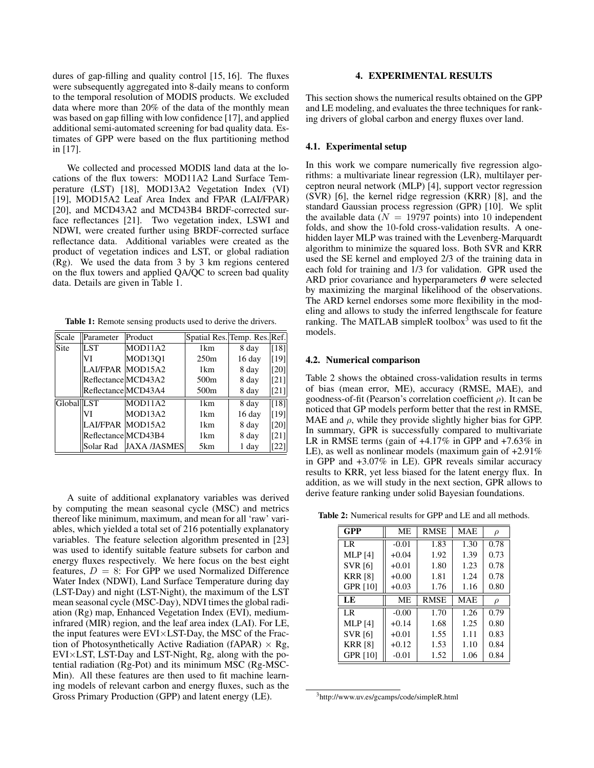dures of gap-filling and quality control [15, 16]. The fluxes were subsequently aggregated into 8-daily means to conform to the temporal resolution of MODIS products. We excluded data where more than 20% of the data of the monthly mean was based on gap filling with low confidence [17], and applied additional semi-automated screening for bad quality data. Estimates of GPP were based on the flux partitioning method in [17].

We collected and processed MODIS land data at the locations of the flux towers: MOD11A2 Land Surface Temperature (LST) [18], MOD13A2 Vegetation Index (VI) [19], MOD15A2 Leaf Area Index and FPAR (LAI/FPAR) [20], and MCD43A2 and MCD43B4 BRDF-corrected surface reflectances [21]. Two vegetation index, LSWI and NDWI, were created further using BRDF-corrected surface reflectance data. Additional variables were created as the product of vegetation indices and LST, or global radiation (Rg). We used the data from 3 by 3 km regions centered on the flux towers and applied QA/QC to screen bad quality data. Details are given in Table 1.

Table 1: Remote sensing products used to derive the drivers.

| Scale      | Parameter           | Product             | Spatial Res. Temp. Res. Ref. |        |      |
|------------|---------------------|---------------------|------------------------------|--------|------|
| Site       | LST                 | MOD11A2             | 1 <sub>km</sub>              | 8 day  | [18] |
|            | VI                  | <b>MOD13O1</b>      | 250m                         | 16 day | [19] |
|            | LAI/FPAR MOD15A2    |                     | 1km                          | 8 day  | [20] |
|            | Reflectance MCD43A2 |                     | 500m                         | 8 day  | [21] |
|            | Reflectance MCD43A4 |                     | 500m                         | 8 day  | [21] |
| Global LST |                     | MOD11A2             | 1 <sub>km</sub>              | 8 day  | [18] |
|            | VI                  | MOD13A2             | 1 <sub>km</sub>              | 16 day | [19] |
|            | LAI/FPAR MOD15A2    |                     | 1 <sub>km</sub>              | 8 day  | [20] |
|            | Reflectance MCD43B4 |                     | 1km                          | 8 day  | [21] |
|            | Solar Rad           | <b>JAXA /JASMES</b> | 5 <sub>km</sub>              | 1 day  | 22   |

A suite of additional explanatory variables was derived by computing the mean seasonal cycle (MSC) and metrics thereof like minimum, maximum, and mean for all 'raw' variables, which yielded a total set of 216 potentially explanatory variables. The feature selection algorithm presented in [23] was used to identify suitable feature subsets for carbon and energy fluxes respectively. We here focus on the best eight features,  $D = 8$ : For GPP we used Normalized Difference Water Index (NDWI), Land Surface Temperature during day (LST-Day) and night (LST-Night), the maximum of the LST mean seasonal cycle (MSC-Day), NDVI times the global radiation (Rg) map, Enhanced Vegetation Index (EVI), mediuminfrared (MIR) region, and the leaf area index (LAI). For LE, the input features were EVI×LST-Day, the MSC of the Fraction of Photosynthetically Active Radiation (fAPAR)  $\times$  Rg, EVI×LST, LST-Day and LST-Night, Rg, along with the potential radiation (Rg-Pot) and its minimum MSC (Rg-MSC-Min). All these features are then used to fit machine learning models of relevant carbon and energy fluxes, such as the Gross Primary Production (GPP) and latent energy (LE).

## 4. EXPERIMENTAL RESULTS

This section shows the numerical results obtained on the GPP and LE modeling, and evaluates the three techniques for ranking drivers of global carbon and energy fluxes over land.

#### 4.1. Experimental setup

In this work we compare numerically five regression algorithms: a multivariate linear regression (LR), multilayer perceptron neural network (MLP) [4], support vector regression (SVR) [6], the kernel ridge regression (KRR) [8], and the standard Gaussian process regression (GPR) [10]. We split the available data ( $N = 19797$  points) into 10 independent folds, and show the 10-fold cross-validation results. A onehidden layer MLP was trained with the Levenberg-Marquardt algorithm to minimize the squared loss. Both SVR and KRR used the SE kernel and employed 2/3 of the training data in each fold for training and 1/3 for validation. GPR used the ARD prior covariance and hyperparameters  $\theta$  were selected by maximizing the marginal likelihood of the observations. The ARD kernel endorses some more flexibility in the modeling and allows to study the inferred lengthscale for feature ranking. The MATLAB simpleR toolbox<sup>3</sup> was used to fit the models.

#### 4.2. Numerical comparison

Table 2 shows the obtained cross-validation results in terms of bias (mean error, ME), accuracy (RMSE, MAE), and goodness-of-fit (Pearson's correlation coefficient  $\rho$ ). It can be noticed that GP models perform better that the rest in RMSE, MAE and  $\rho$ , while they provide slightly higher bias for GPP. In summary, GPR is successfully compared to multivariate LR in RMSE terms (gain of +4.17% in GPP and +7.63% in LE), as well as nonlinear models (maximum gain of +2.91% in GPP and +3.07% in LE). GPR reveals similar accuracy results to KRR, yet less biased for the latent energy flux. In addition, as we will study in the next section, GPR allows to derive feature ranking under solid Bayesian foundations.

Table 2: Numerical results for GPP and LE and all methods.

| GPP             | <b>ME</b> | <b>RMSE</b> | <b>MAE</b> | $\rho$ |
|-----------------|-----------|-------------|------------|--------|
| I R             | $-0.01$   | 1.83        | 1.30       | 0.78   |
| <b>MLP</b> [4]  | $+0.04$   | 1.92        | 1.39       | 0.73   |
| <b>SVR</b> [6]  | $+0.01$   | 1.80        | 1.23       | 0.78   |
| <b>KRR [8]</b>  | $+0.00$   | 1.81        | 1.24       | 0.78   |
| <b>GPR [10]</b> | $+0.03$   | 1.76        | 1.16       | 0.80   |
| LE              | <b>ME</b> | <b>RMSE</b> | <b>MAE</b> | $\rho$ |
| I R             | $-0.00$   | 1.70        | 1.26       | 0.79   |
| <b>MLP</b> [4]  | $+0.14$   | 1.68        | 1.25       | 0.80   |
| <b>SVR</b> [6]  | $+0.01$   | 1.55        | 1.11       | 0.83   |
| <b>KRR [8]</b>  | $+0.12$   | 1.53        | 1.10       | 0.84   |
| <b>GPR [10]</b> | $-0.01$   | 1.52        | 1.06       | 0.84   |

<sup>3</sup>http://www.uv.es/gcamps/code/simpleR.html